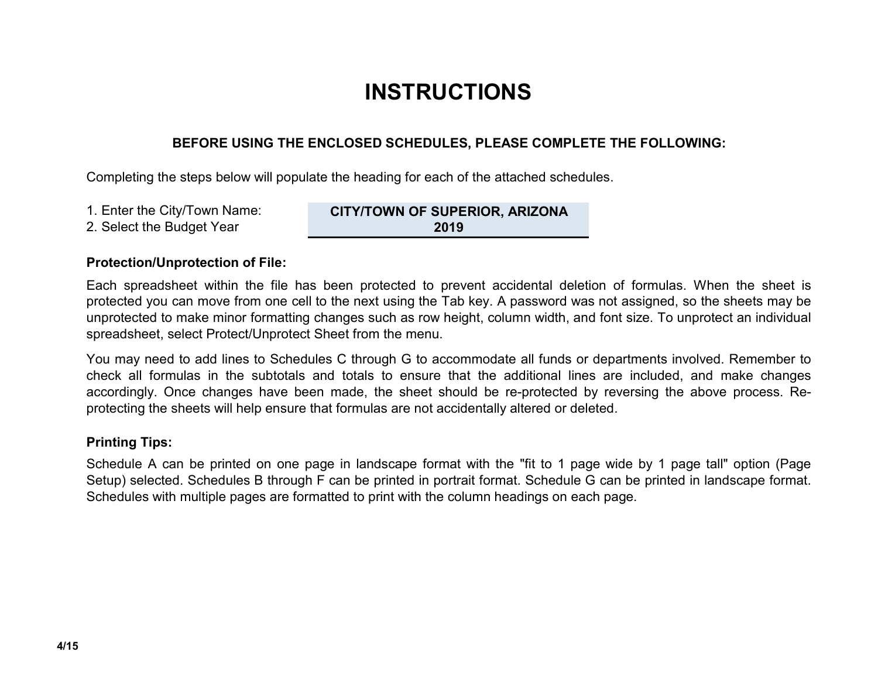# INSTRUCTIONS

### BEFORE USING THE ENCLOSED SCHEDULES, PLEASE COMPLETE THE FOLLOWING:

Completing the steps below will populate the heading for each of the attached schedules.

- 1. Enter the City/Town Name:
- 2. Select the Budget Year

CITY/TOWN OF SUPERIOR, ARIZONA 2019

### Protection/Unprotection of File:

Each spreadsheet within the file has been protected to prevent accidental deletion of formulas. When the sheet is protected you can move from one cell to the next using the Tab key. A password was not assigned, so the sheets may be unprotected to make minor formatting changes such as row height, column width, and font size. To unprotect an individual spreadsheet, select Protect/Unprotect Sheet from the menu.

You may need to add lines to Schedules C through G to accommodate all funds or departments involved. Remember to check all formulas in the subtotals and totals to ensure that the additional lines are included, and make changes accordingly. Once changes have been made, the sheet should be re-protected by reversing the above process. Reprotecting the sheets will help ensure that formulas are not accidentally altered or deleted.

### Printing Tips:

Schedule A can be printed on one page in landscape format with the "fit to 1 page wide by 1 page tall" option (Page Setup) selected. Schedules B through F can be printed in portrait format. Schedule G can be printed in landscape format. Schedules with multiple pages are formatted to print with the column headings on each page.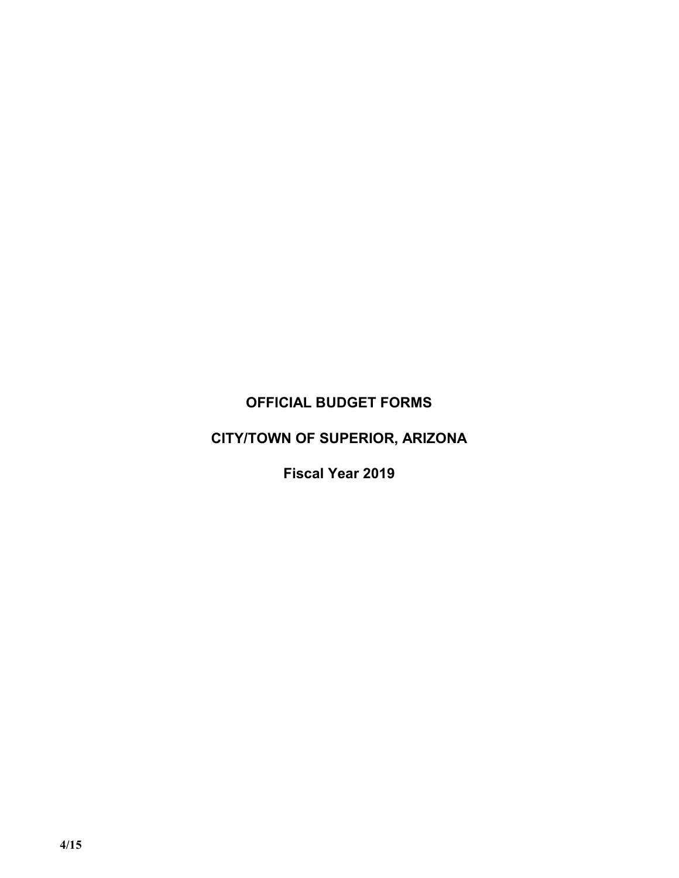## OFFICIAL BUDGET FORMS

# CITY/TOWN OF SUPERIOR, ARIZONA

Fiscal Year 2019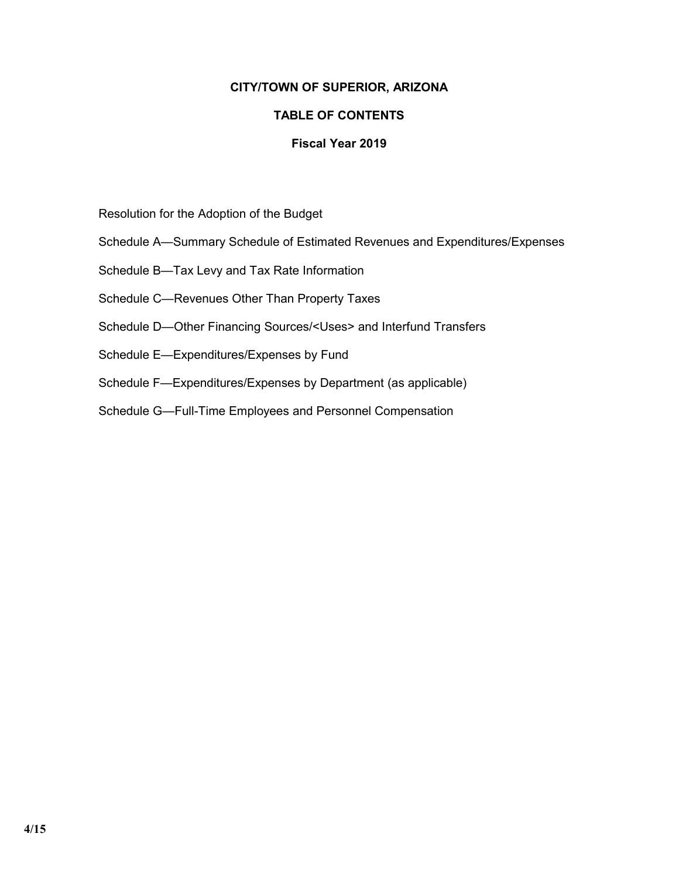### CITY/TOWN OF SUPERIOR, ARIZONA

### TABLE OF CONTENTS

### Fiscal Year 2019

Resolution for the Adoption of the Budget

- Schedule A—Summary Schedule of Estimated Revenues and Expenditures/Expenses
- Schedule B—Tax Levy and Tax Rate Information
- Schedule C—Revenues Other Than Property Taxes
- Schedule D—Other Financing Sources/<Uses> and Interfund Transfers
- Schedule E—Expenditures/Expenses by Fund
- Schedule F—Expenditures/Expenses by Department (as applicable)
- Schedule G—Full-Time Employees and Personnel Compensation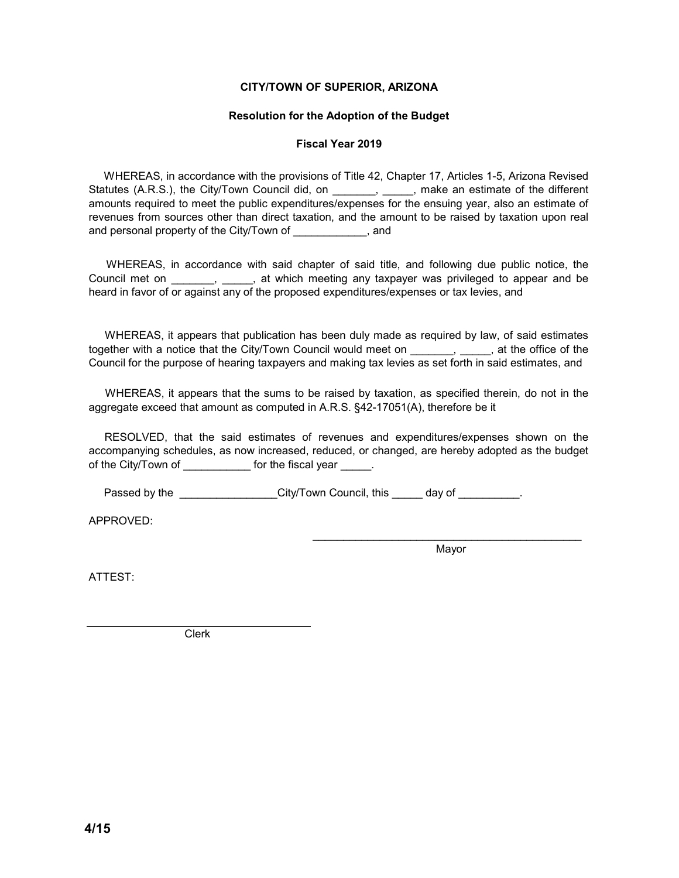#### CITY/TOWN OF SUPERIOR, ARIZONA

#### Resolution for the Adoption of the Budget

#### Fiscal Year 2019

WHEREAS, in accordance with the provisions of Title 42, Chapter 17, Articles 1-5, Arizona Revised Statutes (A.R.S.), the City/Town Council did, on \_\_\_\_\_\_\_, \_\_\_\_, make an estimate of the different amounts required to meet the public expenditures/expenses for the ensuing year, also an estimate of revenues from sources other than direct taxation, and the amount to be raised by taxation upon real and personal property of the City/Town of \_\_\_\_\_\_\_\_\_\_\_\_, and

WHEREAS, in accordance with said chapter of said title, and following due public notice, the Council met on \_\_\_\_\_\_, \_\_\_\_, at which meeting any taxpayer was privileged to appear and be heard in favor of or against any of the proposed expenditures/expenses or tax levies, and

WHEREAS, it appears that publication has been duly made as required by law, of said estimates together with a notice that the City/Town Council would meet on \_\_\_\_\_\_\_, \_\_\_\_\_, at the office of the Council for the purpose of hearing taxpayers and making tax levies as set forth in said estimates, and

WHEREAS, it appears that the sums to be raised by taxation, as specified therein, do not in the aggregate exceed that amount as computed in A.R.S. §42-17051(A), therefore be it

RESOLVED, that the said estimates of revenues and expenditures/expenses shown on the accompanying schedules, as now increased, reduced, or changed, are hereby adopted as the budget of the City/Town of **Example 20** for the fiscal year  $\qquad \qquad$ .

Passed by the \_\_\_\_\_\_\_\_\_\_\_\_\_\_\_\_\_City/Town Council, this \_\_\_\_\_ day of \_\_\_\_\_\_\_\_\_\_.

APPROVED:

\_\_\_\_\_\_\_\_\_\_\_\_\_\_\_\_\_\_\_\_\_\_\_\_\_\_\_\_\_\_\_\_\_\_\_\_\_\_\_\_\_\_\_\_ Mayor

ATTEST:

Clerk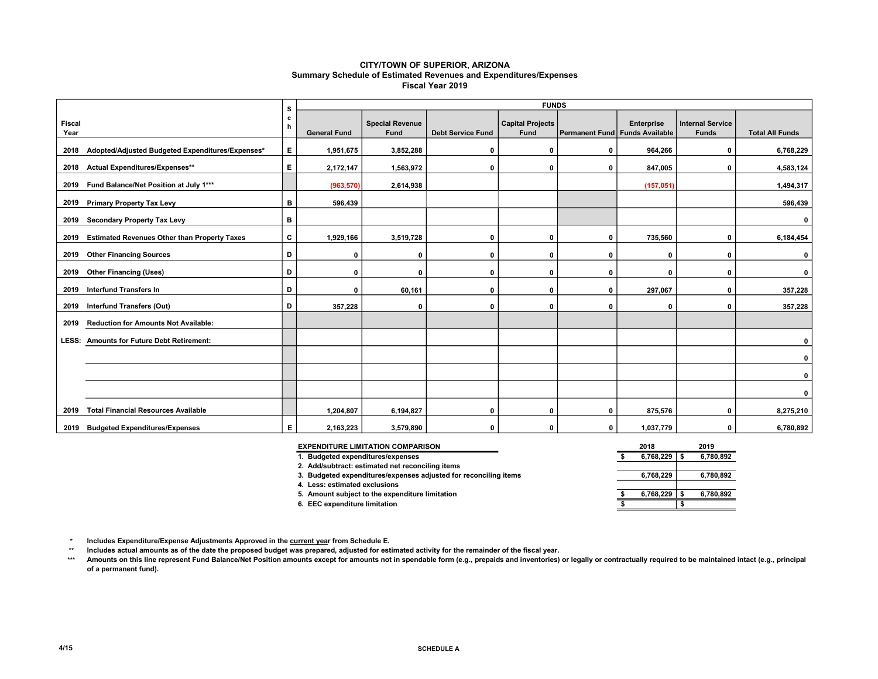#### CITY/TOWN OF SUPERIOR, ARIZONA Summary Schedule of Estimated Revenues and Expenditures/Expenses Fiscal Year 2019

|                       |                                                       | s  |                     |                                       |                          | <b>FUNDS</b>                           |                                |              |                                         |                        |
|-----------------------|-------------------------------------------------------|----|---------------------|---------------------------------------|--------------------------|----------------------------------------|--------------------------------|--------------|-----------------------------------------|------------------------|
| <b>Fiscal</b><br>Year |                                                       | c  | <b>General Fund</b> | <b>Special Revenue</b><br><b>Fund</b> | <b>Debt Service Fund</b> | <b>Capital Projects</b><br><b>Fund</b> | Permanent Fund Funds Available | Enterprise   | <b>Internal Service</b><br><b>Funds</b> | <b>Total All Funds</b> |
|                       | 2018 Adopted/Adjusted Budgeted Expenditures/Expenses* | Е. | 1,951,675           | 3,852,288                             | $\mathbf 0$              | $\mathbf 0$                            | 0                              | 964.266      | $\mathbf 0$                             | 6,768,229              |
|                       | 2018 Actual Expenditures/Expenses**                   | E. | 2,172,147           | 1,563,972                             | $\mathbf 0$              | 0                                      | 0                              | 847,005      | 0                                       | 4,583,124              |
|                       | 2019 Fund Balance/Net Position at July 1***           |    | (963, 570)          | 2,614,938                             |                          |                                        |                                | (157, 051)   |                                         | 1,494,317              |
|                       | 2019 Primary Property Tax Levy                        | B  | 596,439             |                                       |                          |                                        |                                |              |                                         | 596,439                |
|                       | 2019 Secondary Property Tax Levy                      | в  |                     |                                       |                          |                                        |                                |              |                                         | 0                      |
|                       | 2019 Estimated Revenues Other than Property Taxes     | С  | 1,929,166           | 3,519,728                             | 0                        | 0                                      | 0                              | 735,560      | $\mathbf 0$                             | 6,184,454              |
|                       | 2019 Other Financing Sources                          | D  | $\mathbf 0$         | 0                                     | 0                        | 0                                      | 0                              | 0            | 0                                       | 0                      |
|                       | 2019 Other Financing (Uses)                           | D  | $\Omega$            | $\mathbf{0}$                          | 0                        | $\mathbf 0$                            | 0                              | $\Omega$     | $\mathbf 0$                             | $\mathbf 0$            |
| 2019                  | <b>Interfund Transfers In</b>                         | D  | 0                   | 60,161                                | 0                        | 0                                      | 0                              | 297,067      | 0                                       | 357,228                |
|                       | 2019 Interfund Transfers (Out)                        | D  | 357,228             | $\mathbf 0$                           | $\mathbf 0$              | 0                                      | 0                              | $\mathbf{0}$ | 0                                       | 357,228                |
| 2019                  | <b>Reduction for Amounts Not Available:</b>           |    |                     |                                       |                          |                                        |                                |              |                                         |                        |
| LESS:                 | <b>Amounts for Future Debt Retirement:</b>            |    |                     |                                       |                          |                                        |                                |              |                                         | 0                      |
|                       |                                                       |    |                     |                                       |                          |                                        |                                |              |                                         | 0                      |
|                       |                                                       |    |                     |                                       |                          |                                        |                                |              |                                         | 0                      |
|                       |                                                       |    |                     |                                       |                          |                                        |                                |              |                                         | $\mathbf 0$            |
| 2019                  | <b>Total Financial Resources Available</b>            |    | 1,204,807           | 6,194,827                             | 0                        | $\mathbf 0$                            | 0                              | 875,576      | 0                                       | 8,275,210              |
|                       | 2019 Budgeted Expenditures/Expenses                   | Е  | 2,163,223           | 3,579,890                             | $\mathbf{0}$             | $\mathbf 0$                            | 0                              | 1,037,779    | 0                                       | 6,780,892              |

| <b>EXPENDITURE LIMITATION COMPARISON</b>                         |  | 2018      | 2019      |
|------------------------------------------------------------------|--|-----------|-----------|
| 1. Budgeted expenditures/expenses                                |  | 6.768.229 | 6,780,892 |
| 2. Add/subtract: estimated net reconciling items                 |  |           |           |
| 3. Budgeted expenditures/expenses adjusted for reconciling items |  | 6.768.229 | 6,780,892 |
| 4. Less: estimated exclusions                                    |  |           |           |
| 5. Amount subject to the expenditure limitation                  |  | 6.768.229 | 6,780,892 |
| 6. EEC expenditure limitation                                    |  |           |           |

 $\star$ Includes Expenditure/Expense Adjustments Approved in the current year from Schedule E.

\*\* Includes actual amounts as of the date the proposed budget was prepared, adjusted for estimated activity for the remainder of the fiscal year.

\*\*\* Amounts on this line represent Fund Balance/Net Position amounts except for amounts not in spendable form (e.g., prepaids and inventories) or legally or contractually required to be maintained intact (e.g., principal of a permanent fund).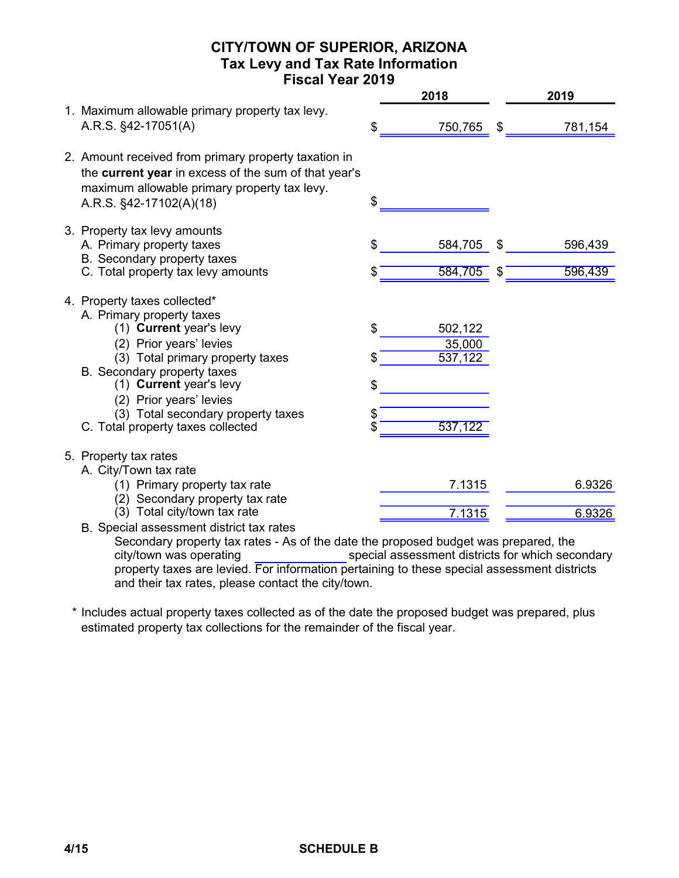### CITY/TOWN OF SUPERIOR, ARIZONA Tax Levy and Tax Rate Information Fiscal Year 2019

|                                                                                                                                                                                                                                                                                                                     |                | 2018                                    |          | 2019               |
|---------------------------------------------------------------------------------------------------------------------------------------------------------------------------------------------------------------------------------------------------------------------------------------------------------------------|----------------|-----------------------------------------|----------|--------------------|
| 1. Maximum allowable primary property tax levy.<br>A.R.S. §42-17051(A)                                                                                                                                                                                                                                              | \$             | 750,765                                 | \$       | 781,154            |
| 2. Amount received from primary property taxation in<br>the current year in excess of the sum of that year's<br>maximum allowable primary property tax levy.<br>A.R.S. §42-17102(A)(18)                                                                                                                             | \$             |                                         |          |                    |
| 3. Property tax levy amounts<br>A. Primary property taxes<br>B. Secondary property taxes<br>C. Total property tax levy amounts                                                                                                                                                                                      | \$             | 584,705<br>584,705                      | \$<br>\$ | 596,439<br>596,439 |
| 4. Property taxes collected*<br>A. Primary property taxes<br>(1) Current year's levy<br>(2) Prior years' levies<br>(3) Total primary property taxes<br>B. Secondary property taxes<br>(1) Current year's levy<br>(2) Prior years' levies<br>(3) Total secondary property taxes<br>C. Total property taxes collected | \$<br>\$<br>\$ | 502,122<br>35,000<br>537,122<br>537,122 |          |                    |
| 5. Property tax rates<br>A. City/Town tax rate<br>(1) Primary property tax rate<br>(2) Secondary property tax rate<br>(3) Total city/town tax rate                                                                                                                                                                  |                | 7.1315<br>7.1315                        |          | 6.9326<br>6.9326   |
| B. Special assessment district tax rates                                                                                                                                                                                                                                                                            |                |                                         |          |                    |

Secondary property tax rates - As of the date the proposed budget was prepared, the special assessment districts for which secondary property taxes are levied. For information pertaining to these special assessment districts and their tax rates, please contact the city/town. city/town was operating

\* Includes actual property taxes collected as of the date the proposed budget was prepared, plus estimated property tax collections for the remainder of the fiscal year.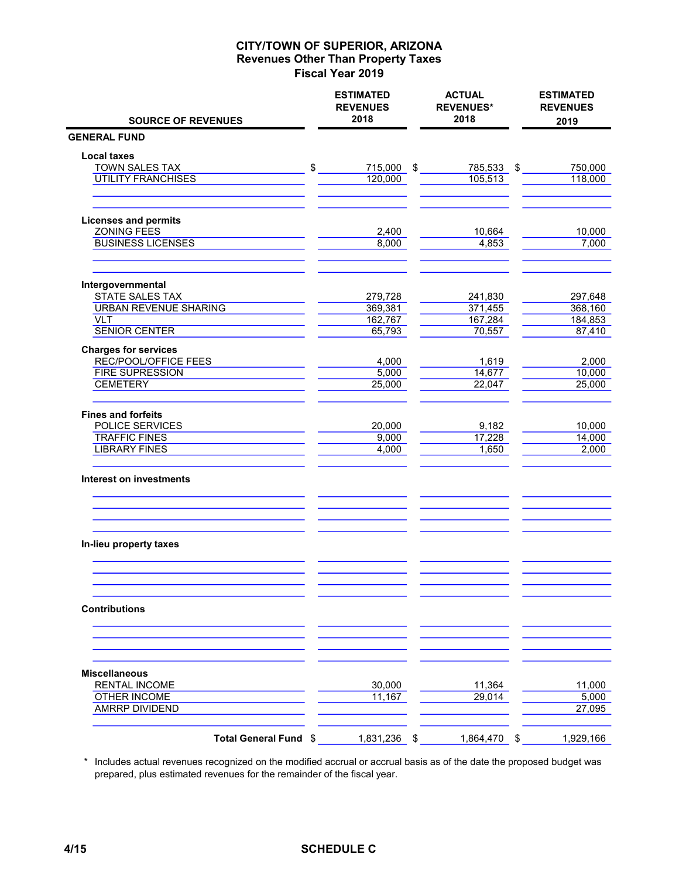|                                                     | <b>ESTIMATED</b><br><b>REVENUES</b><br>2018 |      | <b>ACTUAL</b><br><b>REVENUES*</b><br>2018 |      | <b>ESTIMATED</b><br><b>REVENUES</b> |
|-----------------------------------------------------|---------------------------------------------|------|-------------------------------------------|------|-------------------------------------|
| <b>SOURCE OF REVENUES</b><br><b>GENERAL FUND</b>    |                                             |      |                                           |      | 2019                                |
| <b>Local taxes</b>                                  |                                             |      |                                           |      |                                     |
| TOWN SALES TAX                                      | \$<br>715,000 \$                            |      | 785,533 \$                                |      | 750,000                             |
| <b>UTILITY FRANCHISES</b>                           | 120,000                                     |      | 105,513                                   |      | 118,000                             |
|                                                     |                                             |      |                                           |      |                                     |
| <b>Licenses and permits</b>                         |                                             |      |                                           |      |                                     |
| <b>ZONING FEES</b>                                  | 2,400                                       |      | 10,664                                    |      | 10,000                              |
| <b>BUSINESS LICENSES</b>                            | 8,000                                       |      | 4,853                                     |      | 7,000                               |
| Intergovernmental                                   |                                             |      |                                           |      |                                     |
| STATE SALES TAX                                     | 279,728                                     |      | 241,830                                   |      | 297,648                             |
| <b>URBAN REVENUE SHARING</b>                        | 369,381                                     |      | 371,455                                   |      | 368,160                             |
| <b>VLT</b>                                          | 162,767                                     |      | 167,284                                   |      | 184,853                             |
| <b>SENIOR CENTER</b>                                | 65,793                                      |      | 70,557                                    |      | 87,410                              |
| <b>Charges for services</b><br>REC/POOL/OFFICE FEES | 4,000                                       |      | 1,619                                     |      | 2,000                               |
| <b>FIRE SUPRESSION</b>                              | 5,000                                       |      | 14,677                                    |      | 10,000                              |
| <b>CEMETERY</b>                                     | 25,000                                      |      | 22,047                                    |      | 25,000                              |
| <b>Fines and forfeits</b>                           |                                             |      |                                           |      |                                     |
| POLICE SERVICES                                     | 20,000                                      |      | 9,182                                     |      | 10,000                              |
| <b>TRAFFIC FINES</b>                                | 9,000                                       |      | 17,228                                    |      | 14,000                              |
| <b>LIBRARY FINES</b>                                | 4,000                                       |      | 1,650                                     |      | 2,000                               |
| Interest on investments                             |                                             |      |                                           |      |                                     |
|                                                     |                                             |      |                                           |      |                                     |
| In-lieu property taxes                              |                                             |      |                                           |      |                                     |
|                                                     |                                             |      |                                           |      |                                     |
| <b>Contributions</b>                                |                                             |      |                                           |      |                                     |
|                                                     |                                             |      |                                           |      |                                     |
| <b>Miscellaneous</b>                                |                                             |      |                                           |      |                                     |
| <b>RENTAL INCOME</b>                                | 30,000                                      |      | 11,364                                    |      | 11,000                              |
| <b>OTHER INCOME</b><br><b>AMRRP DIVIDEND</b>        | 11,167                                      |      | 29,014                                    |      | 5,000<br>27,095                     |
| Total General Fund \$                               | 1,831,236                                   | - \$ | 1,864,470                                 | - \$ | 1,929,166                           |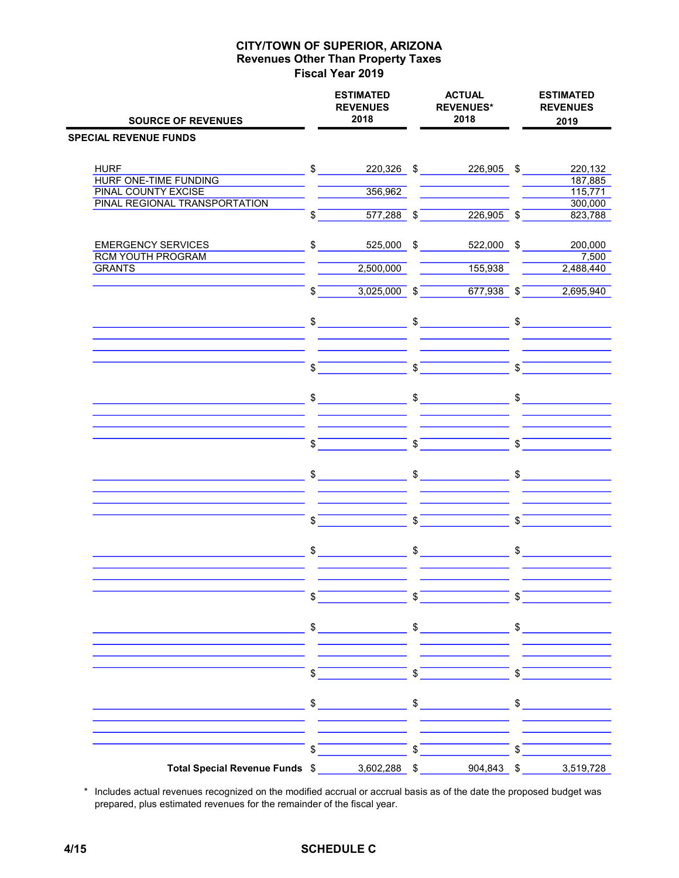| <b>SOURCE OF REVENUES</b>                                   |               | <b>ESTIMATED</b><br><b>REVENUES</b><br>2018 |               | <b>ACTUAL</b><br><b>REVENUES*</b><br>2018 |               | <b>ESTIMATED</b><br><b>REVENUES</b><br>2019 |
|-------------------------------------------------------------|---------------|---------------------------------------------|---------------|-------------------------------------------|---------------|---------------------------------------------|
| <b>SPECIAL REVENUE FUNDS</b>                                |               |                                             |               |                                           |               |                                             |
|                                                             |               |                                             |               |                                           |               |                                             |
| <b>HURF</b>                                                 | \$            | 220,326 \$                                  |               | 226,905 \$                                |               | 220,132                                     |
| <b>HURF ONE-TIME FUNDING</b>                                |               |                                             |               |                                           |               | 187,885                                     |
| <b>PINAL COUNTY EXCISE</b><br>PINAL REGIONAL TRANSPORTATION |               | 356,962                                     |               |                                           |               | 115,771<br>300,000                          |
|                                                             | \$            | $577,288$ \$                                |               | $226,905$ \$                              |               | 823,788                                     |
| <b>EMERGENCY SERVICES</b>                                   | \$            | 525,000                                     | $\sqrt[6]{3}$ | 522,000 \$                                |               | 200,000                                     |
| <b>RCM YOUTH PROGRAM</b>                                    |               |                                             |               |                                           |               | 7,500                                       |
| <b>GRANTS</b>                                               |               | 2,500,000                                   |               | 155,938                                   |               | 2,488,440                                   |
|                                                             | \$            | $3,025,000$ \$                              |               | $677,938$ \$                              |               | 2,695,940                                   |
|                                                             |               | $\sim$                                      |               | $\mathfrak{S}$                            |               | $\sim$                                      |
|                                                             |               |                                             |               |                                           |               |                                             |
|                                                             | \$            |                                             | $\mathbb S$   |                                           | \$            |                                             |
|                                                             |               |                                             |               |                                           |               |                                             |
|                                                             | $\frac{1}{2}$ |                                             |               | $\frac{1}{\sqrt{2}}$                      |               | $\frac{1}{2}$                               |
|                                                             | \$            |                                             | \$            |                                           | \$            |                                             |
|                                                             |               |                                             |               |                                           |               |                                             |
|                                                             | \$            |                                             | $\frac{1}{2}$ |                                           | $\frac{1}{2}$ |                                             |
|                                                             | \$            |                                             | \$            |                                           | \$            |                                             |
|                                                             |               |                                             |               |                                           |               |                                             |
|                                                             | $\frac{1}{2}$ |                                             | $\frac{1}{2}$ |                                           | \$            |                                             |
|                                                             | \$            |                                             | \$            |                                           | \$            |                                             |
|                                                             |               |                                             |               |                                           |               |                                             |
|                                                             | \$            |                                             |               | $\sim$                                    |               | $\frac{1}{2}$                               |
|                                                             |               |                                             |               |                                           |               |                                             |
|                                                             | \$            |                                             | \$            |                                           | \$            |                                             |
|                                                             |               | $\frac{1}{2}$                               | \$            |                                           |               | $\sim$                                      |
|                                                             |               |                                             |               |                                           |               |                                             |
|                                                             | \$            |                                             | \$            | 904,843 \$                                | \$            |                                             |
| Total Special Revenue Funds \$                              |               | 3,602,288 \$                                |               |                                           |               | 3,519,728                                   |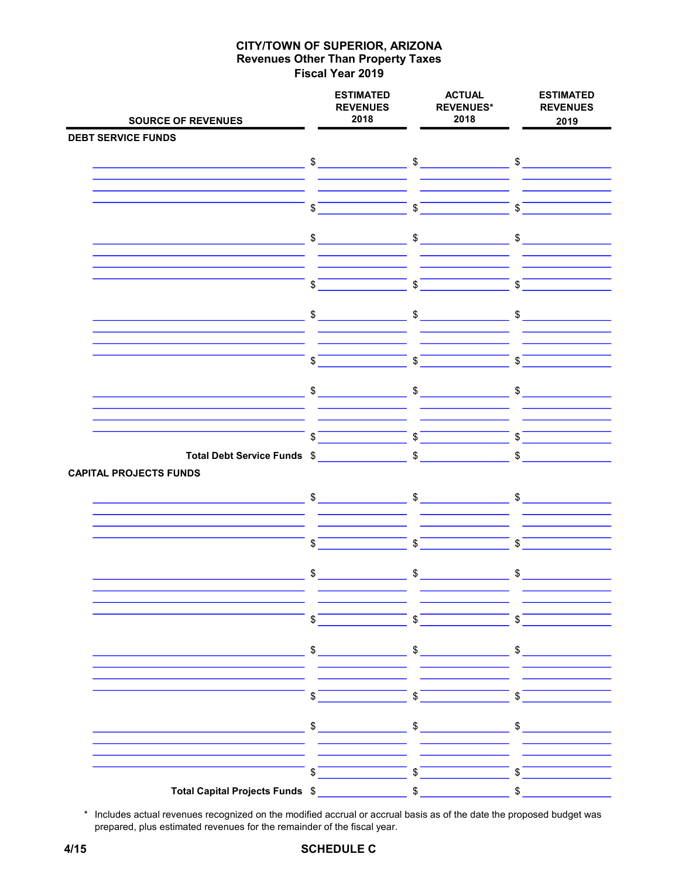| <b>SOURCE OF REVENUES</b>                                                                                             |               | <b>ESTIMATED</b><br><b>REVENUES</b><br>2018 | <b>ACTUAL</b><br><b>REVENUES*</b><br>2018 | <b>ESTIMATED</b><br><b>REVENUES</b><br>2019 |
|-----------------------------------------------------------------------------------------------------------------------|---------------|---------------------------------------------|-------------------------------------------|---------------------------------------------|
| <b>DEBT SERVICE FUNDS</b>                                                                                             |               |                                             |                                           |                                             |
|                                                                                                                       |               |                                             | $\sim$ $\sim$ $\sim$ $\sim$ $\sim$        |                                             |
|                                                                                                                       |               | $\qquad \qquad \$$                          |                                           |                                             |
|                                                                                                                       |               |                                             |                                           |                                             |
|                                                                                                                       | \$            | $\mathbb{S}$                                |                                           | \$                                          |
|                                                                                                                       |               | \$                                          |                                           | \$                                          |
|                                                                                                                       | \$            |                                             |                                           |                                             |
|                                                                                                                       |               |                                             |                                           |                                             |
|                                                                                                                       | \$            | $\sqrt[6]{\frac{1}{2}}$                     |                                           | $\sqrt{s}$                                  |
|                                                                                                                       | $\frac{1}{2}$ | $\frac{1}{2}$                               |                                           | $\mathfrak s$                               |
|                                                                                                                       |               |                                             |                                           |                                             |
|                                                                                                                       |               |                                             |                                           |                                             |
|                                                                                                                       | \$            | $\mathfrak s$                               |                                           | $\mathsf{s}$                                |
|                                                                                                                       |               | $\sim$                                      | $\sim$                                    | $\sim$                                      |
|                                                                                                                       |               |                                             |                                           |                                             |
|                                                                                                                       |               |                                             |                                           |                                             |
|                                                                                                                       | \$            | $\sqrt[6]{\frac{1}{2}}$                     |                                           | \$                                          |
| Total Debt Service Funds \$ \$                                                                                        |               |                                             |                                           | $\mathfrak{S}$                              |
| <b>CAPITAL PROJECTS FUNDS</b>                                                                                         |               |                                             |                                           |                                             |
| <u> 1980 - Johann Barn, mars eta industrial eta industrial eta industrial eta industrial eta industrial eta indus</u> |               | $\frac{1}{2}$                               |                                           |                                             |
|                                                                                                                       |               |                                             |                                           |                                             |
|                                                                                                                       | \$            | \$                                          |                                           | \$                                          |
|                                                                                                                       |               |                                             |                                           |                                             |
|                                                                                                                       | $\sim$        |                                             | $\frac{1}{2}$                             | $\frac{1}{2}$                               |
|                                                                                                                       |               |                                             |                                           |                                             |
|                                                                                                                       | \$            | $\mathsf{s}$                                |                                           | $\mathsf{s}$                                |
|                                                                                                                       |               |                                             |                                           |                                             |
|                                                                                                                       | $\frac{1}{2}$ |                                             | $\sim$                                    | $\frac{1}{2}$                               |
|                                                                                                                       |               |                                             |                                           |                                             |
|                                                                                                                       | \$            | $\mathsf{\$}$                               |                                           | $\sqrt{s}$                                  |
|                                                                                                                       | \$            |                                             |                                           |                                             |
|                                                                                                                       |               | \$                                          |                                           | \$                                          |
|                                                                                                                       |               |                                             |                                           |                                             |
|                                                                                                                       | \$            | $\mathbb{S}$                                |                                           | \$                                          |
| Total Capital Projects Funds \$                                                                                       |               | \$                                          |                                           | \$                                          |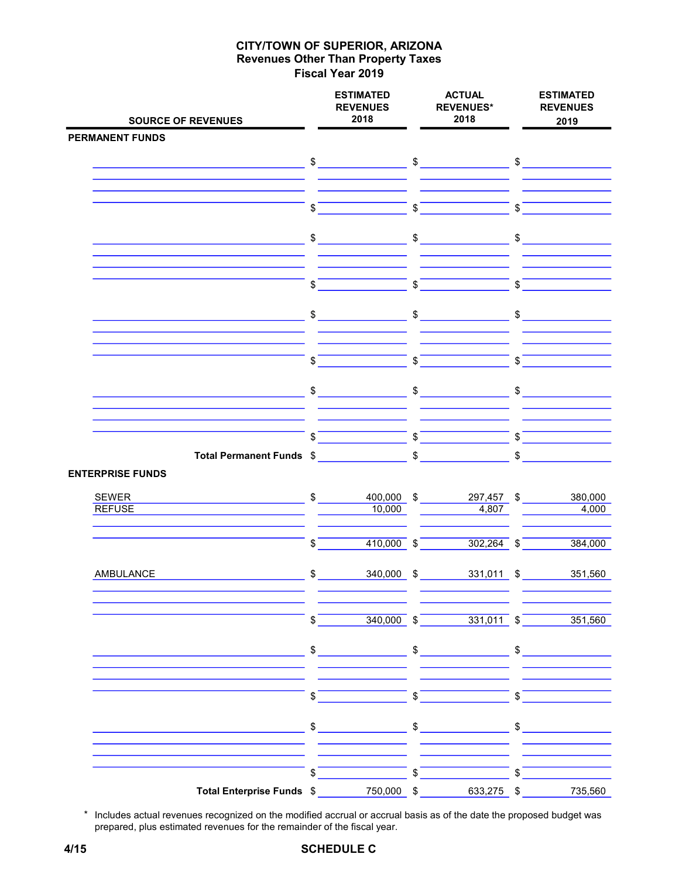| <b>SOURCE OF REVENUES</b>                                    |               | <b>ESTIMATED</b><br><b>REVENUES</b><br>2018 |                          | <b>ACTUAL</b><br><b>REVENUES*</b><br>2018 |                | <b>ESTIMATED</b><br><b>REVENUES</b><br>2019 |
|--------------------------------------------------------------|---------------|---------------------------------------------|--------------------------|-------------------------------------------|----------------|---------------------------------------------|
| <b>PERMANENT FUNDS</b>                                       |               |                                             |                          |                                           |                |                                             |
|                                                              |               |                                             |                          |                                           |                |                                             |
|                                                              |               |                                             |                          |                                           |                |                                             |
|                                                              |               |                                             |                          |                                           |                |                                             |
|                                                              | \$            |                                             | \$                       |                                           | \$             |                                             |
|                                                              |               | $\frac{1}{2}$                               |                          | $\sim$                                    |                | $\sim$                                      |
|                                                              |               |                                             |                          |                                           |                |                                             |
|                                                              | \$            |                                             | $\mathbb S$              |                                           | \$             |                                             |
| <u> 1980 - Johann Barnett, fransk politik (d. 1980)</u>      |               | $\frac{1}{2}$                               |                          | $\frac{1}{\sqrt{2}}$                      |                | $\frac{1}{2}$                               |
|                                                              | \$            |                                             | $\overline{\text{S}}$    |                                           | $\sqrt[6]{\ }$ |                                             |
|                                                              |               | $$$ $-$                                     | $\frac{1}{2}$            |                                           | $\mathsf{\$}$  |                                             |
|                                                              |               |                                             |                          |                                           |                |                                             |
|                                                              | \$            |                                             | $\overline{\mathcal{S}}$ |                                           | $\mathsf{\$}$  |                                             |
| Total Permanent Funds \$<br><b>ENTERPRISE FUNDS</b>          |               |                                             |                          | $\frac{1}{\sqrt{2}}$                      | $\frac{1}{2}$  |                                             |
| <b>SEWER</b><br><u> 1989 - Johann Barn, fransk politik (</u> | $\mathfrak s$ | 400,000 \$                                  |                          | 297,457 \$                                |                | 380,000                                     |
| <b>REFUSE</b>                                                |               | 10,000                                      |                          | 4,807                                     |                | 4,000                                       |
|                                                              | \$            | $410,000$ \$                                |                          | $302,264$ \$                              |                | 384,000                                     |
| <b>AMBULANCE</b>                                             |               | $\frac{1}{\sqrt{2}}$<br>340,000 \$          |                          | 331,011 \$                                |                | 351,560                                     |
|                                                              | \$            |                                             |                          | $340,000$ \$ $331,011$ \$                 |                | 351,560                                     |
|                                                              |               | $\sim$                                      |                          | $\sim$                                    |                | $\sim$                                      |
|                                                              | \$            |                                             | $\mathsf{s}$             |                                           | \$             |                                             |
|                                                              | \$            |                                             | \$                       |                                           | \$             |                                             |
|                                                              | \$            |                                             | $\mathbb S$              |                                           | \$             |                                             |
| Total Enterprise Funds \$                                    |               | 750,000 \$                                  |                          | 633,275 \$                                |                | 735,560                                     |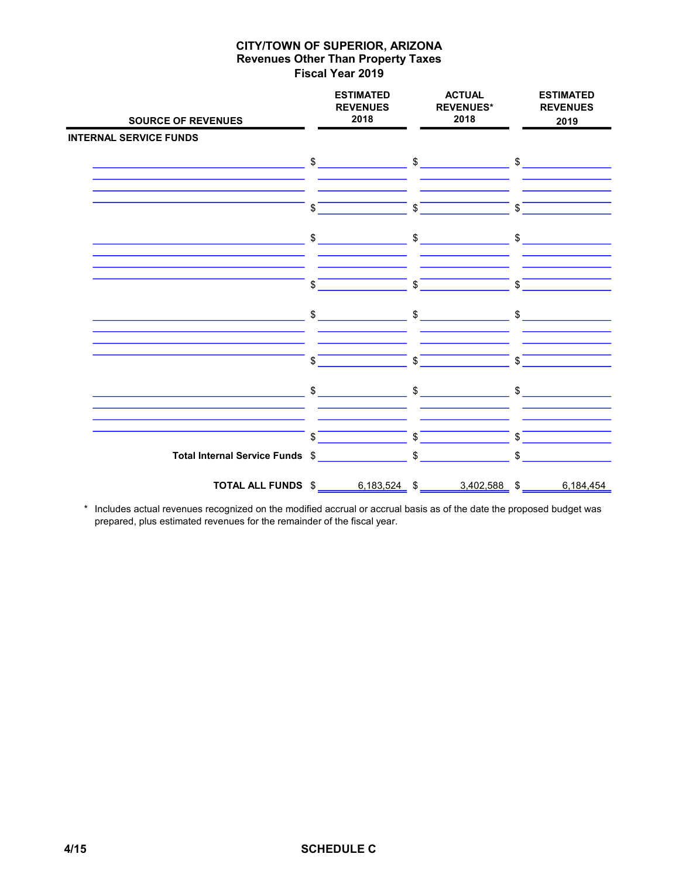| <b>SOURCE OF REVENUES</b>                              |               | <b>ESTIMATED</b><br><b>REVENUES</b><br>2018                                                                                                                                                                                                                                                                                                         |             | <b>ACTUAL</b><br><b>REVENUES*</b><br>2018 | <b>ESTIMATED</b><br><b>REVENUES</b><br>2019 |
|--------------------------------------------------------|---------------|-----------------------------------------------------------------------------------------------------------------------------------------------------------------------------------------------------------------------------------------------------------------------------------------------------------------------------------------------------|-------------|-------------------------------------------|---------------------------------------------|
| <b>INTERNAL SERVICE FUNDS</b>                          |               |                                                                                                                                                                                                                                                                                                                                                     |             |                                           |                                             |
|                                                        |               | $\begin{picture}(20,10) \put(0,0){\line(1,0){10}} \put(15,0){\line(1,0){10}} \put(15,0){\line(1,0){10}} \put(15,0){\line(1,0){10}} \put(15,0){\line(1,0){10}} \put(15,0){\line(1,0){10}} \put(15,0){\line(1,0){10}} \put(15,0){\line(1,0){10}} \put(15,0){\line(1,0){10}} \put(15,0){\line(1,0){10}} \put(15,0){\line(1,0){10}} \put(15,0){\line(1$ |             | $\mathfrak{S}$                            | $\mathfrak{S}$                              |
|                                                        | \$            |                                                                                                                                                                                                                                                                                                                                                     | \$          |                                           | \$                                          |
|                                                        | \$            |                                                                                                                                                                                                                                                                                                                                                     | \$          |                                           | \$                                          |
|                                                        | \$            |                                                                                                                                                                                                                                                                                                                                                     | \$          |                                           | \$                                          |
|                                                        | \$            |                                                                                                                                                                                                                                                                                                                                                     | \$          |                                           | \$                                          |
|                                                        | \$            |                                                                                                                                                                                                                                                                                                                                                     | \$          |                                           | \$                                          |
|                                                        | $\frac{1}{2}$ |                                                                                                                                                                                                                                                                                                                                                     | \$          |                                           | $\frac{1}{2}$                               |
|                                                        |               |                                                                                                                                                                                                                                                                                                                                                     |             |                                           |                                             |
|                                                        | \$            |                                                                                                                                                                                                                                                                                                                                                     | $\mathbb S$ |                                           | \$                                          |
| Total Internal Service Funds \$                        |               |                                                                                                                                                                                                                                                                                                                                                     |             |                                           | \$                                          |
| <b>TOTAL ALL FUNDS</b> $$$ 6,183,524 $$$ 3,402,588 $$$ |               |                                                                                                                                                                                                                                                                                                                                                     |             |                                           | 6,184,454                                   |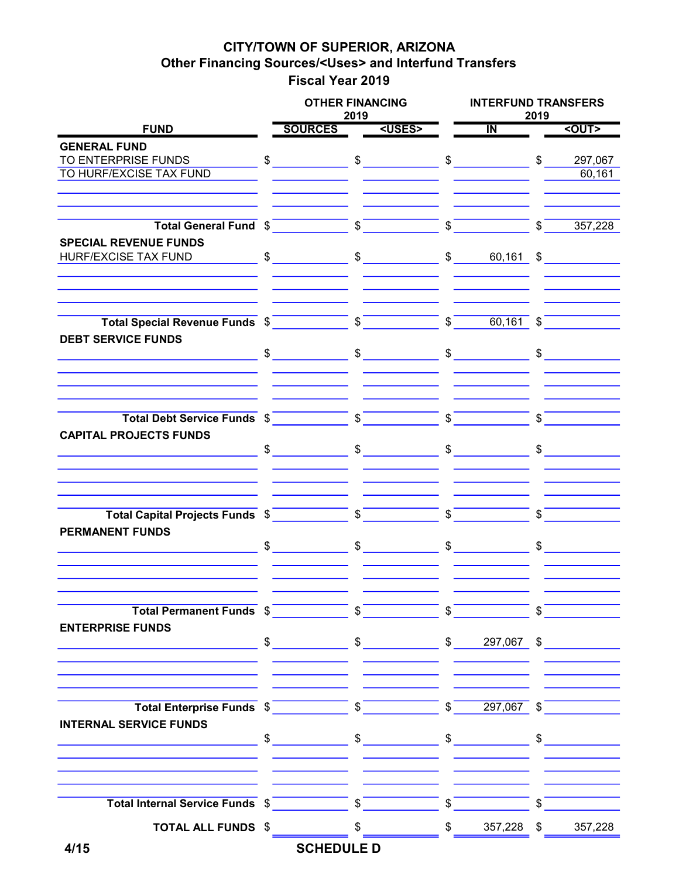### CITY/TOWN OF SUPERIOR, ARIZONA Other Financing Sources/<Uses> and Interfund Transfers Fiscal Year 2019

|                                                                                                                                                                                                                                                                                                                |               | <b>OTHER FINANCING</b>                                                                                                                                                                                                                                                                                                                                                                                                           | 2019          |               |                | <b>INTERFUND TRANSFERS</b><br>2019 |                                      |              |  |  |
|----------------------------------------------------------------------------------------------------------------------------------------------------------------------------------------------------------------------------------------------------------------------------------------------------------------|---------------|----------------------------------------------------------------------------------------------------------------------------------------------------------------------------------------------------------------------------------------------------------------------------------------------------------------------------------------------------------------------------------------------------------------------------------|---------------|---------------|----------------|------------------------------------|--------------------------------------|--------------|--|--|
| <b>FUND</b>                                                                                                                                                                                                                                                                                                    |               | SOURCES <uses></uses>                                                                                                                                                                                                                                                                                                                                                                                                            |               |               |                | $\mathbf{N}$                       |                                      | $<$ OUT>     |  |  |
| <b>GENERAL FUND</b>                                                                                                                                                                                                                                                                                            |               |                                                                                                                                                                                                                                                                                                                                                                                                                                  |               |               |                |                                    |                                      |              |  |  |
| TO ENTERPRISE FUNDS                                                                                                                                                                                                                                                                                            |               | $\sim$                                                                                                                                                                                                                                                                                                                                                                                                                           |               | $\sim$        |                | $\frac{1}{2}$                      | \$                                   | 297,067      |  |  |
| TO HURF/EXCISE TAX FUND                                                                                                                                                                                                                                                                                        |               |                                                                                                                                                                                                                                                                                                                                                                                                                                  |               |               |                |                                    |                                      | 60,161       |  |  |
| Total General Fund \$                                                                                                                                                                                                                                                                                          |               |                                                                                                                                                                                                                                                                                                                                                                                                                                  |               | $\frac{1}{2}$ | $\sqrt[3]{ }$  |                                    | $\overline{\text{S}}$                | 357,228      |  |  |
| <b>SPECIAL REVENUE FUNDS</b><br><b>HURF/EXCISE TAX FUND</b>                                                                                                                                                                                                                                                    | $\frac{1}{2}$ |                                                                                                                                                                                                                                                                                                                                                                                                                                  |               | $\frac{1}{2}$ |                | $\frac{1}{2}$<br>$60,161$ \$       |                                      |              |  |  |
|                                                                                                                                                                                                                                                                                                                |               |                                                                                                                                                                                                                                                                                                                                                                                                                                  |               |               | $\sqrt{s}$     | 60,161                             | $\mathbb{S}$                         |              |  |  |
| <b>DEBT SERVICE FUNDS</b>                                                                                                                                                                                                                                                                                      |               | $\frac{1}{\sqrt{2}}$                                                                                                                                                                                                                                                                                                                                                                                                             |               | $\sim$        |                | $\sim$                             |                                      |              |  |  |
| Total Debt Service Funds \$                                                                                                                                                                                                                                                                                    |               |                                                                                                                                                                                                                                                                                                                                                                                                                                  | $\sqrt{s}$    |               | $\mathsf{s}^-$ |                                    | \$                                   |              |  |  |
| <b>CAPITAL PROJECTS FUNDS</b>                                                                                                                                                                                                                                                                                  | $\mathsf{\$}$ |                                                                                                                                                                                                                                                                                                                                                                                                                                  |               | $\sim$        |                | $\mathfrak s$                      |                                      | $\mathbb{S}$ |  |  |
| Total Capital Projects Funds \$                                                                                                                                                                                                                                                                                |               |                                                                                                                                                                                                                                                                                                                                                                                                                                  | $\sqrt[6]{ }$ |               | \$             |                                    | \$.                                  |              |  |  |
| <b>PERMANENT FUNDS</b>                                                                                                                                                                                                                                                                                         |               | $\sim$                                                                                                                                                                                                                                                                                                                                                                                                                           |               | $\sim$        | $\mathbb{S}$   |                                    |                                      |              |  |  |
| Total Permanent Funds \$                                                                                                                                                                                                                                                                                       |               |                                                                                                                                                                                                                                                                                                                                                                                                                                  |               |               |                |                                    | $\sigma$ <sup>-</sup>                |              |  |  |
| <b>ENTERPRISE FUNDS</b>                                                                                                                                                                                                                                                                                        |               |                                                                                                                                                                                                                                                                                                                                                                                                                                  |               |               |                |                                    |                                      |              |  |  |
| Total Enterprise Funds $\frac{1}{2}$ $\frac{1}{2}$ $\frac{1}{2}$ $\frac{1}{2}$ $\frac{1}{2}$ $\frac{1}{2}$ $\frac{1}{2}$ $\frac{1}{2}$ $\frac{1}{2}$ $\frac{1}{2}$ $\frac{1}{2}$ $\frac{1}{2}$ $\frac{1}{2}$ $\frac{1}{2}$ $\frac{1}{2}$ $\frac{1}{2}$ $\frac{1}{2}$ $\frac{1}{2}$ $\frac{1}{2}$ $\frac{1}{2}$ |               |                                                                                                                                                                                                                                                                                                                                                                                                                                  |               |               |                |                                    |                                      |              |  |  |
| <b>INTERNAL SERVICE FUNDS</b>                                                                                                                                                                                                                                                                                  |               |                                                                                                                                                                                                                                                                                                                                                                                                                                  |               |               |                |                                    |                                      |              |  |  |
|                                                                                                                                                                                                                                                                                                                |               |                                                                                                                                                                                                                                                                                                                                                                                                                                  |               |               |                |                                    | $\overline{\phantom{a}}\mathfrak{s}$ |              |  |  |
| <b>TOTAL ALL FUNDS \$</b>                                                                                                                                                                                                                                                                                      |               | $\frac{\text{I}}{\text{I}}$ $\frac{\text{I}}{\text{I}}$ $\frac{\text{I}}{\text{I}}$ $\frac{\text{I}}{\text{I}}$ $\frac{\text{I}}{\text{I}}$ $\frac{\text{I}}{\text{I}}$ $\frac{\text{I}}{\text{I}}$ $\frac{\text{I}}{\text{I}}$ $\frac{\text{I}}{\text{I}}$ $\frac{\text{I}}{\text{I}}$ $\frac{\text{I}}{\text{I}}$ $\frac{\text{I}}{\text{I}}$ $\frac{\text{I}}{\text{I}}$ $\frac{\text{I}}{\text{I}}$ $\frac{\text{I}}{\text{$ |               |               |                |                                    |                                      |              |  |  |
| 4/15                                                                                                                                                                                                                                                                                                           |               | <b>SCHEDULE D</b>                                                                                                                                                                                                                                                                                                                                                                                                                |               |               |                |                                    |                                      |              |  |  |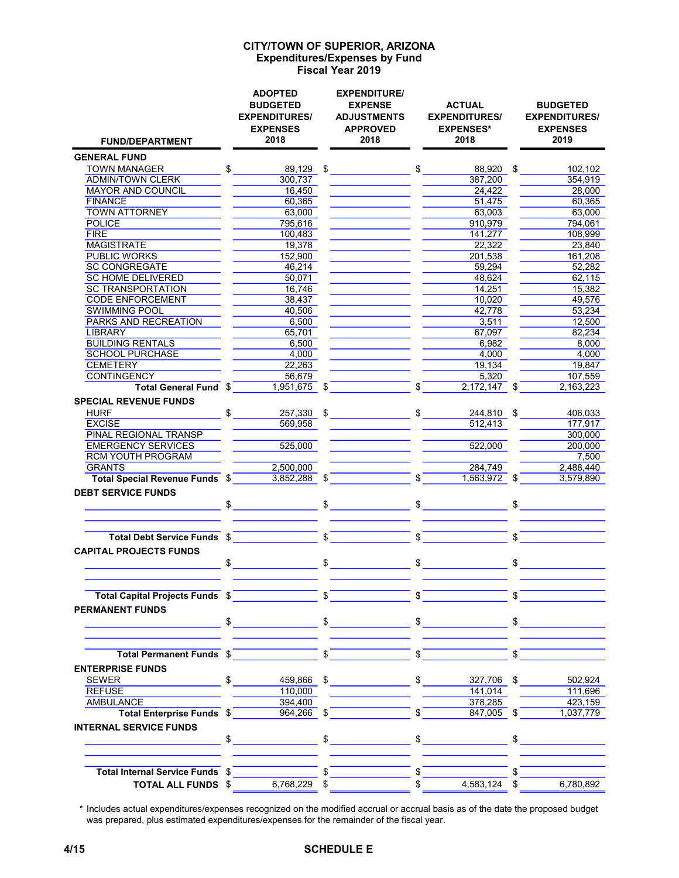#### Expenditures/Expenses by Fund Fiscal Year 2019 CITY/TOWN OF SUPERIOR, ARIZONA

| <b>FUND/DEPARTMENT</b>                 |              | <b>ADOPTED</b><br><b>BUDGETED</b><br><b>EXPENDITURES/</b><br><b>EXPENSES</b><br>2018 |                | <b>EXPENDITURE/</b><br><b>EXPENSE</b><br><b>ADJUSTMENTS</b><br><b>APPROVED</b><br>2018 |              | <b>ACTUAL</b><br><b>EXPENDITURES/</b><br><b>EXPENSES*</b><br>2018                                                                                                                                                                                                                                                   | <b>BUDGETED</b><br><b>EXPENDITURES/</b><br><b>EXPENSES</b><br>2019 |
|----------------------------------------|--------------|--------------------------------------------------------------------------------------|----------------|----------------------------------------------------------------------------------------|--------------|---------------------------------------------------------------------------------------------------------------------------------------------------------------------------------------------------------------------------------------------------------------------------------------------------------------------|--------------------------------------------------------------------|
| <b>GENERAL FUND</b>                    |              |                                                                                      |                |                                                                                        |              |                                                                                                                                                                                                                                                                                                                     |                                                                    |
| <b>TOWN MANAGER</b>                    | \$           |                                                                                      |                | $89,129$ \$                                                                            |              | $$\overbrace{\phantom{aaaaa}}$<br>88,920 \$                                                                                                                                                                                                                                                                         | 102,102                                                            |
| <b>ADMIN/TOWN CLERK</b>                |              | 300,737                                                                              |                |                                                                                        |              | 387.200                                                                                                                                                                                                                                                                                                             | 354,919                                                            |
| MAYOR AND COUNCIL                      |              | 16,450                                                                               |                |                                                                                        |              | 24.422                                                                                                                                                                                                                                                                                                              | 28,000                                                             |
| <b>FINANCE</b>                         |              | 60,365                                                                               |                |                                                                                        |              | 51,475                                                                                                                                                                                                                                                                                                              | 60,365                                                             |
| <b>TOWN ATTORNEY</b>                   |              | 63,000                                                                               |                |                                                                                        |              | 63,003                                                                                                                                                                                                                                                                                                              | 63.000                                                             |
| <b>POLICE</b>                          |              | 795,616                                                                              |                |                                                                                        |              | 910,979                                                                                                                                                                                                                                                                                                             | 794,061                                                            |
| <b>FIRE</b>                            |              | 100,483                                                                              |                |                                                                                        |              | 141,277                                                                                                                                                                                                                                                                                                             | 108,999                                                            |
| <b>MAGISTRATE</b>                      |              | 19,378                                                                               |                |                                                                                        |              | 22,322                                                                                                                                                                                                                                                                                                              | 23,840                                                             |
| <b>PUBLIC WORKS</b>                    |              | 152,900                                                                              |                |                                                                                        |              | 201,538                                                                                                                                                                                                                                                                                                             | 161,208                                                            |
| <b>SC CONGREGATE</b>                   |              | 46,214                                                                               |                |                                                                                        |              | 59,294                                                                                                                                                                                                                                                                                                              | 52,282                                                             |
| <b>SC HOME DELIVERED</b>               |              | 50,071                                                                               |                |                                                                                        |              | 48,624                                                                                                                                                                                                                                                                                                              | 62,115                                                             |
| <b>SC TRANSPORTATION</b>               |              | 16,746                                                                               |                |                                                                                        |              | 14,251                                                                                                                                                                                                                                                                                                              | 15,382                                                             |
| <b>CODE ENFORCEMENT</b>                |              | 38,437                                                                               |                |                                                                                        |              | 10.020                                                                                                                                                                                                                                                                                                              | 49.576                                                             |
| <b>SWIMMING POOL</b>                   |              | 40,506                                                                               |                |                                                                                        |              | 42,778                                                                                                                                                                                                                                                                                                              | 53,234                                                             |
| <b>PARKS AND RECREATION</b><br>LIBRARY |              | 6,500<br>65,701                                                                      |                |                                                                                        |              | 3,511<br>67,097                                                                                                                                                                                                                                                                                                     | 12,500<br>82.234                                                   |
| <b>BUILDING RENTALS</b>                |              | 6,500                                                                                |                |                                                                                        |              | 6,982                                                                                                                                                                                                                                                                                                               | 8,000                                                              |
| <b>SCHOOL PURCHASE</b>                 |              | 4,000                                                                                |                |                                                                                        |              | 4,000                                                                                                                                                                                                                                                                                                               | 4.000                                                              |
| <b>CEMETERY</b>                        |              | 22,263                                                                               |                |                                                                                        |              | 19,134                                                                                                                                                                                                                                                                                                              | 19,847                                                             |
| <b>CONTINGENCY</b>                     |              | 56,679                                                                               |                |                                                                                        |              | 5,320                                                                                                                                                                                                                                                                                                               | 107,559                                                            |
| Total General Fund \$                  |              | 1,951,675 \$                                                                         |                |                                                                                        | $\mathsf{S}$ | 2,172,147 \$                                                                                                                                                                                                                                                                                                        | 2,163,223                                                          |
| <b>SPECIAL REVENUE FUNDS</b>           |              |                                                                                      |                |                                                                                        |              |                                                                                                                                                                                                                                                                                                                     |                                                                    |
|                                        |              |                                                                                      |                |                                                                                        |              |                                                                                                                                                                                                                                                                                                                     |                                                                    |
| <b>HURF</b><br><b>EXCISE</b>           | \$           | 257,330                                                                              | $\mathfrak{S}$ |                                                                                        |              | 244,810 \$                                                                                                                                                                                                                                                                                                          | 406,033<br>177,917                                                 |
| PINAL REGIONAL TRANSP                  |              | 569,958                                                                              |                |                                                                                        |              | 512,413                                                                                                                                                                                                                                                                                                             | 300,000                                                            |
| <b>EMERGENCY SERVICES</b>              |              | 525,000                                                                              |                |                                                                                        |              | 522,000                                                                                                                                                                                                                                                                                                             | 200.000                                                            |
| <b>RCM YOUTH PROGRAM</b>               |              |                                                                                      |                |                                                                                        |              |                                                                                                                                                                                                                                                                                                                     | 7,500                                                              |
| <b>GRANTS</b>                          |              | 2,500,000                                                                            |                |                                                                                        |              | 284,749                                                                                                                                                                                                                                                                                                             | 2,488,440                                                          |
| Total Special Revenue Funds \$         |              | 3,852,288 \$                                                                         |                |                                                                                        | $\mathsf{s}$ | $1,563,972$ \$                                                                                                                                                                                                                                                                                                      | 3,579,890                                                          |
| <b>DEBT SERVICE FUNDS</b>              |              |                                                                                      |                |                                                                                        |              |                                                                                                                                                                                                                                                                                                                     |                                                                    |
|                                        |              | $\frac{1}{2}$                                                                        |                |                                                                                        |              | $\frac{1}{2}$ $\frac{1}{2}$ $\frac{1}{2}$ $\frac{1}{2}$ $\frac{1}{2}$ $\frac{1}{2}$ $\frac{1}{2}$ $\frac{1}{2}$ $\frac{1}{2}$ $\frac{1}{2}$ $\frac{1}{2}$ $\frac{1}{2}$ $\frac{1}{2}$ $\frac{1}{2}$ $\frac{1}{2}$ $\frac{1}{2}$ $\frac{1}{2}$ $\frac{1}{2}$ $\frac{1}{2}$ $\frac{1}{2}$ $\frac{1}{2}$ $\frac{1}{2}$ | $$\overbrace{\hspace{2.5cm}}$                                      |
|                                        |              |                                                                                      |                |                                                                                        |              |                                                                                                                                                                                                                                                                                                                     |                                                                    |
| Total Debt Service Funds \$            |              | <u> Tanzania (h. 1878).</u>                                                          | $\mathsf{s}$   |                                                                                        |              | $\frac{1}{2}$                                                                                                                                                                                                                                                                                                       | \$                                                                 |
| <b>CAPITAL PROJECTS FUNDS</b>          | $\mathbb{S}$ |                                                                                      | \$             |                                                                                        |              | $\frac{1}{2}$                                                                                                                                                                                                                                                                                                       | \$                                                                 |
| Total Capital Projects Funds \$        |              |                                                                                      |                |                                                                                        |              |                                                                                                                                                                                                                                                                                                                     |                                                                    |
| <b>PERMANENT FUNDS</b>                 |              |                                                                                      |                |                                                                                        |              |                                                                                                                                                                                                                                                                                                                     |                                                                    |
|                                        |              | $\sim$                                                                               |                | $\frac{1}{\sqrt{2}}$                                                                   |              | $\frac{1}{\sqrt{2}}$                                                                                                                                                                                                                                                                                                | $\frac{1}{2}$                                                      |
| Total Permanent Funds \$               |              |                                                                                      | $\frac{1}{2}$  |                                                                                        | $\mathbb{S}$ |                                                                                                                                                                                                                                                                                                                     |                                                                    |
| <b>ENTERPRISE FUNDS</b>                |              |                                                                                      |                |                                                                                        |              |                                                                                                                                                                                                                                                                                                                     |                                                                    |
|                                        |              |                                                                                      |                |                                                                                        |              |                                                                                                                                                                                                                                                                                                                     |                                                                    |
|                                        |              | $S_{-}$                                                                              |                | $459,866$ \$                                                                           |              | $\frac{1}{2}$                                                                                                                                                                                                                                                                                                       | 327,706 \$<br>502,924                                              |
| <b>REFUSE</b><br><b>AMBULANCE</b>      |              | 110,000                                                                              |                |                                                                                        |              | 141,014                                                                                                                                                                                                                                                                                                             | 111,696                                                            |
| Total Enterprise Funds \$              |              | 394,400<br>$964,266$ \$                                                              |                |                                                                                        | \$           | 378,285<br>847,005 \$                                                                                                                                                                                                                                                                                               | 423,159                                                            |
|                                        |              |                                                                                      |                |                                                                                        |              |                                                                                                                                                                                                                                                                                                                     | 1,037,779                                                          |
| <b>INTERNAL SERVICE FUNDS</b>          |              |                                                                                      |                |                                                                                        |              |                                                                                                                                                                                                                                                                                                                     |                                                                    |
|                                        |              | $\frac{1}{2}$                                                                        |                | $\sim$                                                                                 |              | $\frac{1}{2}$                                                                                                                                                                                                                                                                                                       | $\mathbb{S}$                                                       |
| Total Internal Service Funds \$        |              |                                                                                      |                |                                                                                        |              |                                                                                                                                                                                                                                                                                                                     |                                                                    |
| <b>TOTAL ALL FUNDS \$</b>              |              | 6,768,229 \$                                                                         |                |                                                                                        | \$           | 4,583,124                                                                                                                                                                                                                                                                                                           | \$<br>6,780,892                                                    |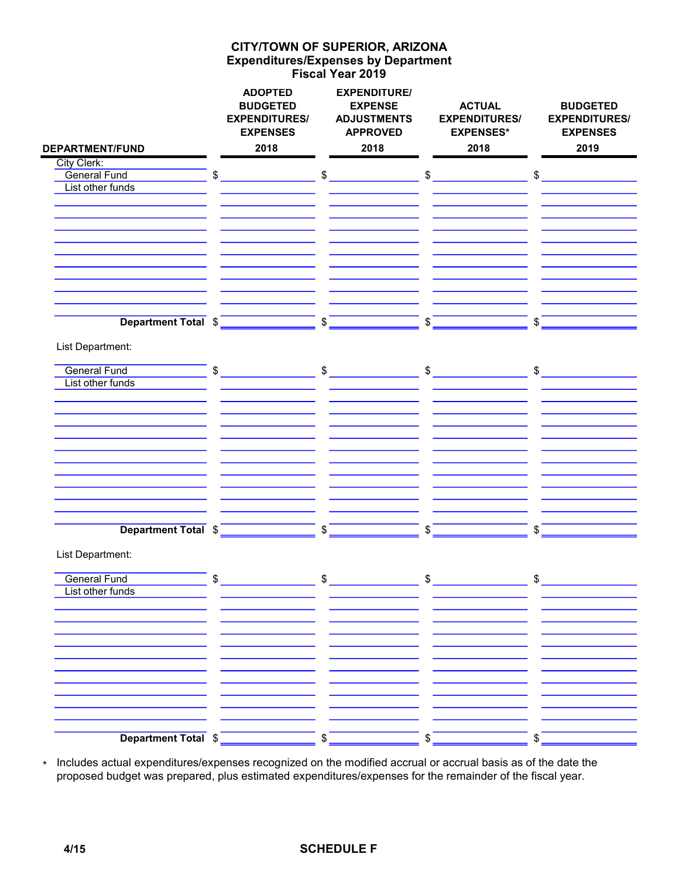### Expenditures/Expenses by Department Fiscal Year 2019 CITY/TOWN OF SUPERIOR, ARIZONA

| <b>DEPARTMENT/FUND</b> | <b>ADOPTED</b><br><b>BUDGETED</b><br><b>EXPENDITURES/</b><br><b>EXPENSES</b><br>2018               |              | <b>EXPENDITURE/</b><br><b>EXPENSE</b><br><b>ADJUSTMENTS</b><br><b>APPROVED</b><br>2018 |                   | <b>ACTUAL</b><br><b>EXPENDITURES/</b><br><b>EXPENSES*</b><br>2018                                                                                                                                                                                                                                                                                   |               | <b>BUDGETED</b><br><b>EXPENDITURES/</b><br><b>EXPENSES</b><br>2019 |
|------------------------|----------------------------------------------------------------------------------------------------|--------------|----------------------------------------------------------------------------------------|-------------------|-----------------------------------------------------------------------------------------------------------------------------------------------------------------------------------------------------------------------------------------------------------------------------------------------------------------------------------------------------|---------------|--------------------------------------------------------------------|
| City Clerk:            |                                                                                                    |              |                                                                                        |                   |                                                                                                                                                                                                                                                                                                                                                     |               |                                                                    |
| <b>General Fund</b>    | $\$\$                                                                                              |              | $\mathfrak{S}$                                                                         |                   | $\begin{picture}(20,10) \put(0,0){\line(1,0){10}} \put(15,0){\line(1,0){10}} \put(15,0){\line(1,0){10}} \put(15,0){\line(1,0){10}} \put(15,0){\line(1,0){10}} \put(15,0){\line(1,0){10}} \put(15,0){\line(1,0){10}} \put(15,0){\line(1,0){10}} \put(15,0){\line(1,0){10}} \put(15,0){\line(1,0){10}} \put(15,0){\line(1,0){10}} \put(15,0){\line(1$ |               | $\frac{1}{2}$                                                      |
| List other funds       |                                                                                                    |              |                                                                                        |                   |                                                                                                                                                                                                                                                                                                                                                     |               |                                                                    |
|                        |                                                                                                    |              |                                                                                        |                   |                                                                                                                                                                                                                                                                                                                                                     |               |                                                                    |
|                        |                                                                                                    |              |                                                                                        |                   |                                                                                                                                                                                                                                                                                                                                                     |               |                                                                    |
|                        |                                                                                                    |              |                                                                                        |                   |                                                                                                                                                                                                                                                                                                                                                     |               |                                                                    |
|                        |                                                                                                    |              |                                                                                        |                   |                                                                                                                                                                                                                                                                                                                                                     |               |                                                                    |
|                        |                                                                                                    |              |                                                                                        |                   |                                                                                                                                                                                                                                                                                                                                                     |               |                                                                    |
|                        |                                                                                                    |              |                                                                                        |                   |                                                                                                                                                                                                                                                                                                                                                     |               |                                                                    |
|                        |                                                                                                    |              |                                                                                        |                   |                                                                                                                                                                                                                                                                                                                                                     |               |                                                                    |
|                        |                                                                                                    |              |                                                                                        |                   |                                                                                                                                                                                                                                                                                                                                                     |               |                                                                    |
|                        |                                                                                                    |              |                                                                                        |                   |                                                                                                                                                                                                                                                                                                                                                     |               |                                                                    |
| Department Total \$    |                                                                                                    | $\sqrt[6]{}$ |                                                                                        | $\sqrt{s}$        |                                                                                                                                                                                                                                                                                                                                                     | $\sqrt{s}$    |                                                                    |
|                        |                                                                                                    |              |                                                                                        |                   |                                                                                                                                                                                                                                                                                                                                                     |               |                                                                    |
| List Department:       |                                                                                                    |              |                                                                                        |                   |                                                                                                                                                                                                                                                                                                                                                     |               |                                                                    |
|                        |                                                                                                    |              |                                                                                        |                   |                                                                                                                                                                                                                                                                                                                                                     |               |                                                                    |
| <b>General Fund</b>    | $\frac{1}{2}$ \$ $\frac{1}{2}$ \$ $\frac{1}{2}$ \$ $\frac{1}{2}$ \$ $\frac{1}{2}$ \$ $\frac{1}{2}$ |              |                                                                                        |                   |                                                                                                                                                                                                                                                                                                                                                     |               |                                                                    |
| List other funds       |                                                                                                    |              |                                                                                        |                   |                                                                                                                                                                                                                                                                                                                                                     |               |                                                                    |
|                        |                                                                                                    |              |                                                                                        |                   |                                                                                                                                                                                                                                                                                                                                                     |               |                                                                    |
|                        |                                                                                                    |              |                                                                                        |                   |                                                                                                                                                                                                                                                                                                                                                     |               |                                                                    |
|                        |                                                                                                    |              |                                                                                        |                   |                                                                                                                                                                                                                                                                                                                                                     |               |                                                                    |
|                        |                                                                                                    |              |                                                                                        |                   |                                                                                                                                                                                                                                                                                                                                                     |               |                                                                    |
|                        |                                                                                                    |              |                                                                                        |                   |                                                                                                                                                                                                                                                                                                                                                     |               |                                                                    |
|                        |                                                                                                    |              |                                                                                        |                   |                                                                                                                                                                                                                                                                                                                                                     |               |                                                                    |
|                        |                                                                                                    |              |                                                                                        |                   |                                                                                                                                                                                                                                                                                                                                                     |               |                                                                    |
|                        |                                                                                                    |              |                                                                                        |                   |                                                                                                                                                                                                                                                                                                                                                     |               |                                                                    |
|                        |                                                                                                    |              |                                                                                        |                   |                                                                                                                                                                                                                                                                                                                                                     |               |                                                                    |
|                        |                                                                                                    |              |                                                                                        |                   |                                                                                                                                                                                                                                                                                                                                                     |               |                                                                    |
| Department Total \$    |                                                                                                    |              |                                                                                        | $\boldsymbol{\$}$ |                                                                                                                                                                                                                                                                                                                                                     | $\frac{1}{2}$ |                                                                    |
| List Department:       |                                                                                                    |              |                                                                                        |                   |                                                                                                                                                                                                                                                                                                                                                     |               |                                                                    |
| <b>General Fund</b>    | \$                                                                                                 | \$           |                                                                                        | \$                |                                                                                                                                                                                                                                                                                                                                                     | \$            |                                                                    |
| List other funds       |                                                                                                    |              |                                                                                        |                   |                                                                                                                                                                                                                                                                                                                                                     |               |                                                                    |
|                        |                                                                                                    |              |                                                                                        |                   |                                                                                                                                                                                                                                                                                                                                                     |               |                                                                    |
|                        |                                                                                                    |              |                                                                                        |                   |                                                                                                                                                                                                                                                                                                                                                     |               |                                                                    |
|                        |                                                                                                    |              |                                                                                        |                   |                                                                                                                                                                                                                                                                                                                                                     |               |                                                                    |
|                        |                                                                                                    |              |                                                                                        |                   |                                                                                                                                                                                                                                                                                                                                                     |               |                                                                    |
|                        |                                                                                                    |              |                                                                                        |                   |                                                                                                                                                                                                                                                                                                                                                     |               |                                                                    |
|                        |                                                                                                    |              |                                                                                        |                   |                                                                                                                                                                                                                                                                                                                                                     |               |                                                                    |
|                        |                                                                                                    |              |                                                                                        |                   |                                                                                                                                                                                                                                                                                                                                                     |               |                                                                    |
|                        |                                                                                                    |              |                                                                                        |                   |                                                                                                                                                                                                                                                                                                                                                     |               |                                                                    |
|                        |                                                                                                    |              |                                                                                        |                   |                                                                                                                                                                                                                                                                                                                                                     |               |                                                                    |
|                        |                                                                                                    |              |                                                                                        |                   |                                                                                                                                                                                                                                                                                                                                                     |               |                                                                    |
| Department Total \$    |                                                                                                    | \$           |                                                                                        | \$                |                                                                                                                                                                                                                                                                                                                                                     | \$            |                                                                    |

\* Includes actual expenditures/expenses recognized on the modified accrual or accrual basis as of the date the proposed budget was prepared, plus estimated expenditures/expenses for the remainder of the fiscal year.

### 4/15 SCHEDULE F